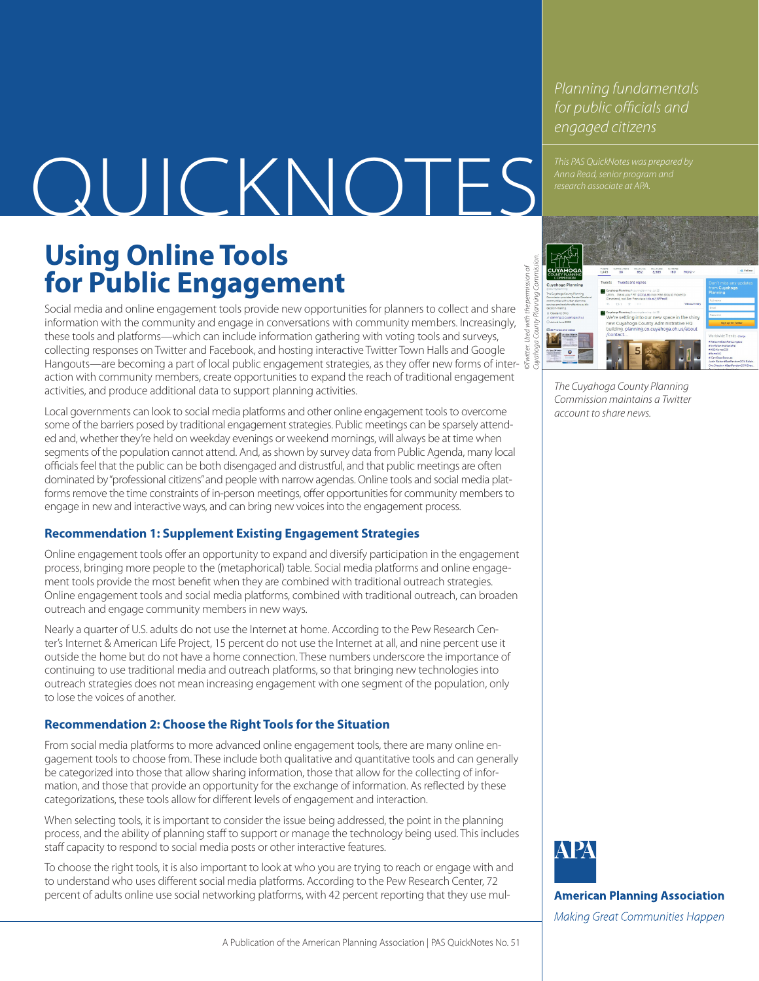*Planning fundamentals for public officials and engaged citizens*

*This PAS QuickNotes was prepared by* 

# **ANDICKNOTES** *Inha Read, Senior program research associate at APA.*

# **Using Online Tools for Public Engagement**

*©Twitter. Used with the permission of*  permission of Social media and online engagement tools provide new opportunities for planners to collect and share the information with the community and engage in conversations with community members. Increasingly, these tools and platforms—which can include information gathering with voting tools and surveys, collecting responses on Twitter and Facebook, and hosting interactive Twitter Town Halls and Google Hangouts—are becoming a part of local public engagement strategies, as they offer new forms of interaction with community members, create opportunities to expand the reach of traditional engagement activities, and produce additional data to support planning activities.

Local governments can look to social media platforms and other online engagement tools to overcome some of the barriers posed by traditional engagement strategies. Public meetings can be sparsely attended and, whether they're held on weekday evenings or weekend mornings, will always be at time when segments of the population cannot attend. And, as shown by survey data from Public Agenda, many local officials feel that the public can be both disengaged and distrustful, and that public meetings are often dominated by "professional citizens" and people with narrow agendas. Online tools and social media platforms remove the time constraints of in-person meetings, offer opportunities for community members to engage in new and interactive ways, and can bring new voices into the engagement process.

# **Recommendation 1: Supplement Existing Engagement Strategies**

Online engagement tools offer an opportunity to expand and diversify participation in the engagement process, bringing more people to the (metaphorical) table. Social media platforms and online engagement tools provide the most benefit when they are combined with traditional outreach strategies. Online engagement tools and social media platforms, combined with traditional outreach, can broaden outreach and engage community members in new ways.

Nearly a quarter of U.S. adults do not use the Internet at home. According to the Pew Research Center's Internet & American Life Project, 15 percent do not use the Internet at all, and nine percent use it outside the home but do not have a home connection. These numbers underscore the importance of continuing to use traditional media and outreach platforms, so that bringing new technologies into outreach strategies does not mean increasing engagement with one segment of the population, only to lose the voices of another.

# **Recommendation 2: Choose the Right Tools for the Situation**

From social media platforms to more advanced online engagement tools, there are many online engagement tools to choose from. These include both qualitative and quantitative tools and can generally be categorized into those that allow sharing information, those that allow for the collecting of information, and those that provide an opportunity for the exchange of information. As reflected by these categorizations, these tools allow for different levels of engagement and interaction.

When selecting tools, it is important to consider the issue being addressed, the point in the planning process, and the ability of planning staff to support or manage the technology being used. This includes staff capacity to respond to social media posts or other interactive features.

To choose the right tools, it is also important to look at who you are trying to reach or engage with and to understand who uses different social media platforms. According to the Pew Research Center, 72 percent of adults online use social networking platforms, with 42 percent reporting that they use mul-



*The Cuyahoga County Planning Commission maintains a Twitter account to share news.*



**American Planning Association** 

Making Great Communities Happen